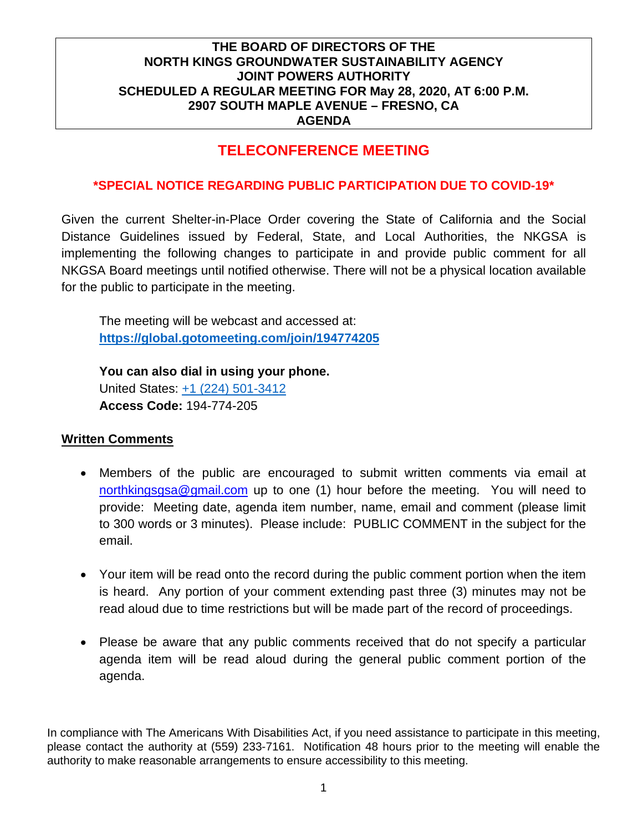## **TELECONFERENCE MEETING**

### **\*SPECIAL NOTICE REGARDING PUBLIC PARTICIPATION DUE TO COVID-19\***

Given the current Shelter-in-Place Order covering the State of California and the Social Distance Guidelines issued by Federal, State, and Local Authorities, the NKGSA is implementing the following changes to participate in and provide public comment for all NKGSA Board meetings until notified otherwise. There will not be a physical location available for the public to participate in the meeting.

The meeting will be webcast and accessed at: **<https://global.gotomeeting.com/join/194774205>**

**You can also dial in using your phone.**  United States: [+1 \(224\) 501-3412](tel:+12245013412,,194774205) **Access Code:** 194-774-205

#### **Written Comments**

- Members of the public are encouraged to submit written comments via email at [northkingsgsa@gmail.com](mailto:northkingsgsa@gmail.com) up to one (1) hour before the meeting. You will need to provide: Meeting date, agenda item number, name, email and comment (please limit to 300 words or 3 minutes). Please include: PUBLIC COMMENT in the subject for the email.
- Your item will be read onto the record during the public comment portion when the item is heard. Any portion of your comment extending past three (3) minutes may not be read aloud due to time restrictions but will be made part of the record of proceedings.
- Please be aware that any public comments received that do not specify a particular agenda item will be read aloud during the general public comment portion of the agenda.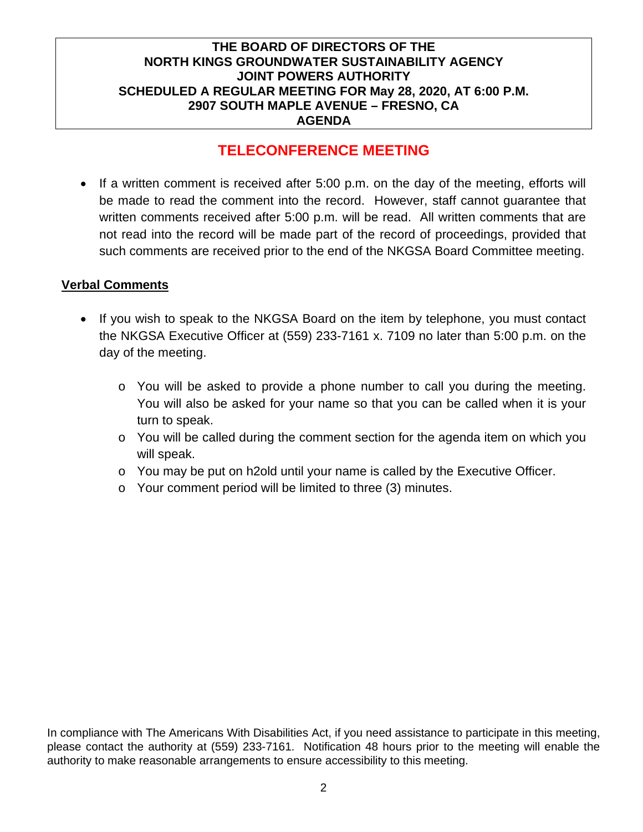## **TELECONFERENCE MEETING**

• If a written comment is received after 5:00 p.m. on the day of the meeting, efforts will be made to read the comment into the record. However, staff cannot guarantee that written comments received after 5:00 p.m. will be read. All written comments that are not read into the record will be made part of the record of proceedings, provided that such comments are received prior to the end of the NKGSA Board Committee meeting.

#### **Verbal Comments**

- If you wish to speak to the NKGSA Board on the item by telephone, you must contact the NKGSA Executive Officer at (559) 233-7161 x. 7109 no later than 5:00 p.m. on the day of the meeting.
	- o You will be asked to provide a phone number to call you during the meeting. You will also be asked for your name so that you can be called when it is your turn to speak.
	- $\circ$  You will be called during the comment section for the agenda item on which you will speak.
	- $\circ$  You may be put on h2old until your name is called by the Executive Officer.
	- o Your comment period will be limited to three (3) minutes.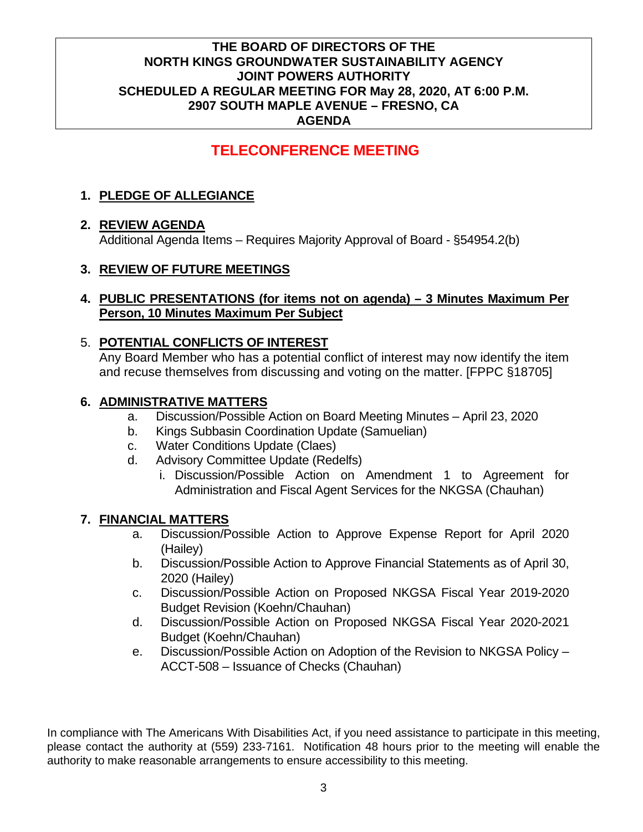# **TELECONFERENCE MEETING**

## **1. PLEDGE OF ALLEGIANCE**

## **2. REVIEW AGENDA**

Additional Agenda Items – Requires Majority Approval of Board - §54954.2(b)

## **3. REVIEW OF FUTURE MEETINGS**

#### **4. PUBLIC PRESENTATIONS (for items not on agenda) – 3 Minutes Maximum Per Person, 10 Minutes Maximum Per Subject**

#### 5. **POTENTIAL CONFLICTS OF INTEREST**

Any Board Member who has a potential conflict of interest may now identify the item and recuse themselves from discussing and voting on the matter. [FPPC §18705]

#### **6. ADMINISTRATIVE MATTERS**

- a. Discussion/Possible Action on Board Meeting Minutes April 23, 2020
- b. Kings Subbasin Coordination Update (Samuelian)
- c. Water Conditions Update (Claes)
- d. Advisory Committee Update (Redelfs)
	- i. Discussion/Possible Action on Amendment 1 to Agreement for Administration and Fiscal Agent Services for the NKGSA (Chauhan)

#### **7. FINANCIAL MATTERS**

- a. Discussion/Possible Action to Approve Expense Report for April 2020 (Hailey)
- b. Discussion/Possible Action to Approve Financial Statements as of April 30, 2020 (Hailey)
- c. Discussion/Possible Action on Proposed NKGSA Fiscal Year 2019-2020 Budget Revision (Koehn/Chauhan)
- d. Discussion/Possible Action on Proposed NKGSA Fiscal Year 2020-2021 Budget (Koehn/Chauhan)
- e. Discussion/Possible Action on Adoption of the Revision to NKGSA Policy ACCT-508 – Issuance of Checks (Chauhan)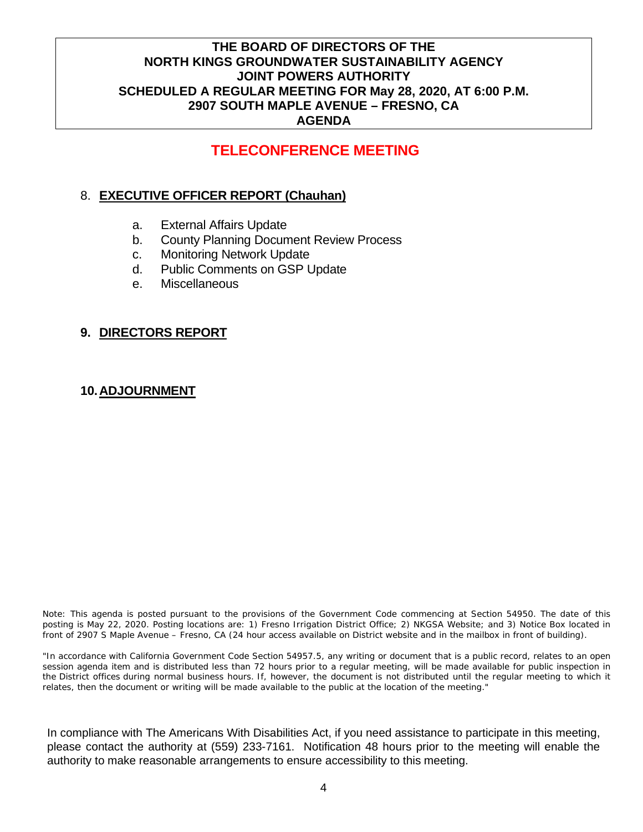## **TELECONFERENCE MEETING**

### 8. **EXECUTIVE OFFICER REPORT (Chauhan)**

- a. External Affairs Update
- b. County Planning Document Review Process
- c. Monitoring Network Update
- d. Public Comments on GSP Update
- e. Miscellaneous

#### **9. DIRECTORS REPORT**

#### **10.ADJOURNMENT**

Note: This agenda is posted pursuant to the provisions of the Government Code commencing at Section 54950. The date of this posting is May 22, 2020. Posting locations are: 1) Fresno Irrigation District Office; 2) NKGSA Website; and 3) Notice Box located in front of 2907 S Maple Avenue – Fresno, CA (24 hour access available on District website and in the mailbox in front of building).

"In accordance with California Government Code Section 54957.5, any writing or document that is a public record, relates to an open session agenda item and is distributed less than 72 hours prior to a regular meeting, will be made available for public inspection in the District offices during normal business hours. If, however, the document is not distributed until the regular meeting to which it relates, then the document or writing will be made available to the public at the location of the meeting."